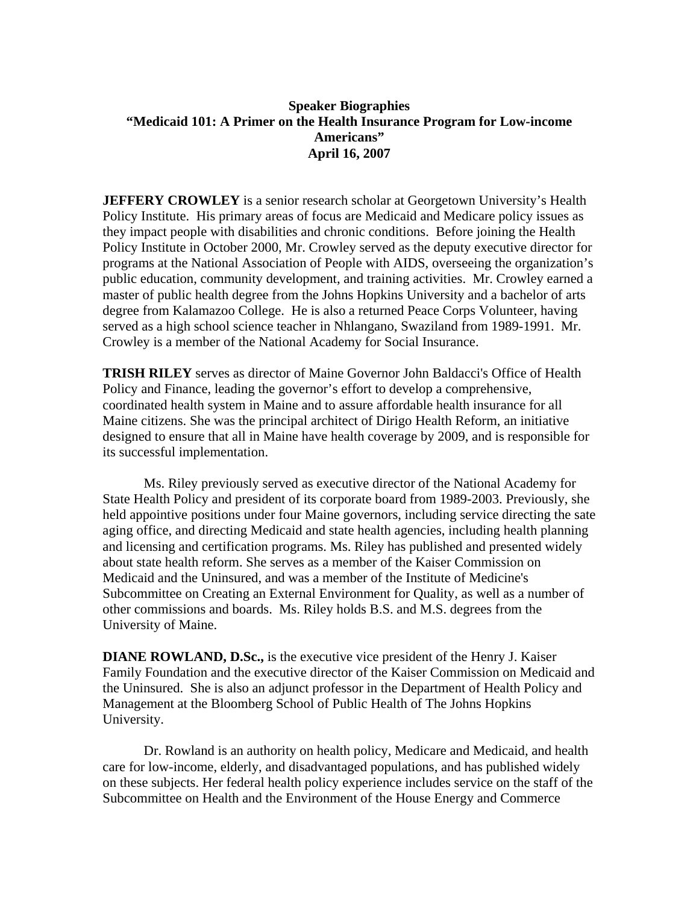## **Speaker Biographies "Medicaid 101: A Primer on the Health Insurance Program for Low-income Americans" April 16, 2007**

**JEFFERY CROWLEY** is a senior research scholar at Georgetown University's Health Policy Institute. His primary areas of focus are Medicaid and Medicare policy issues as they impact people with disabilities and chronic conditions. Before joining the Health Policy Institute in October 2000, Mr. Crowley served as the deputy executive director for programs at the National Association of People with AIDS, overseeing the organization's public education, community development, and training activities. Mr. Crowley earned a master of public health degree from the Johns Hopkins University and a bachelor of arts degree from Kalamazoo College. He is also a returned Peace Corps Volunteer, having served as a high school science teacher in Nhlangano, Swaziland from 1989-1991. Mr. Crowley is a member of the National Academy for Social Insurance.

**TRISH RILEY** serves as director of Maine Governor John Baldacci's Office of Health Policy and Finance, leading the governor's effort to develop a comprehensive, coordinated health system in Maine and to assure affordable health insurance for all Maine citizens. She was the principal architect of Dirigo Health Reform, an initiative designed to ensure that all in Maine have health coverage by 2009, and is responsible for its successful implementation.

Ms. Riley previously served as executive director of the National Academy for State Health Policy and president of its corporate board from 1989-2003. Previously, she held appointive positions under four Maine governors, including service directing the sate aging office, and directing Medicaid and state health agencies, including health planning and licensing and certification programs. Ms. Riley has published and presented widely about state health reform. She serves as a member of the Kaiser Commission on Medicaid and the Uninsured, and was a member of the Institute of Medicine's Subcommittee on Creating an External Environment for Quality, as well as a number of other commissions and boards. Ms. Riley holds B.S. and M.S. degrees from the University of Maine.

**DIANE ROWLAND, D.Sc.,** is the executive vice president of the Henry J. Kaiser Family Foundation and the executive director of the Kaiser Commission on Medicaid and the Uninsured. She is also an adjunct professor in the Department of Health Policy and Management at the Bloomberg School of Public Health of The Johns Hopkins University.

Dr. Rowland is an authority on health policy, Medicare and Medicaid, and health care for low-income, elderly, and disadvantaged populations, and has published widely on these subjects. Her federal health policy experience includes service on the staff of the Subcommittee on Health and the Environment of the House Energy and Commerce